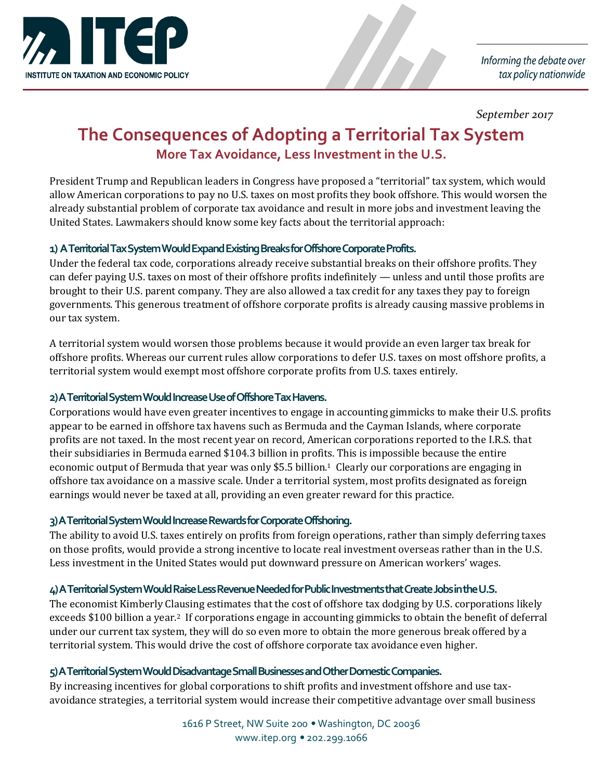

Informing the debate over tax policy nationwide

*September 2017*

# **The Consequences of Adopting a Territorial Tax System More Tax Avoidance, Less Investment in the U.S.**

President Trump and Republican leaders in Congress have proposed a "territorial" tax system, which would allow American corporations to pay no U.S. taxes on most profits they book offshore. This would worsen the already substantial problem of corporate tax avoidance and result in more jobs and investment leaving the United States. Lawmakers should know some key facts about the territorial approach:

### **1) A Territorial Tax System Would Expand Existing Breaks for Offshore Corporate Profits.**

Under the federal tax code, corporations already receive substantial breaks on their offshore profits. They can defer paying U.S. taxes on most of their offshore profits indefinitely — unless and until those profits are brought to their U.S. parent company. They are also allowed a tax credit for any taxes they pay to foreign governments. This generous treatment of offshore corporate profits is already causing massive problems in our tax system.

A territorial system would worsen those problems because it would provide an even larger tax break for offshore profits. Whereas our current rules allow corporations to defer U.S. taxes on most offshore profits, a territorial system would exempt most offshore corporate profits from U.S. taxes entirely.

#### **2) A Territorial System Would Increase Use of Offshore Tax Havens.**

Corporations would have even greater incentives to engage in accounting gimmicks to make their U.S. profits appear to be earned in offshore tax havens such as Bermuda and the Cayman Islands, where corporate profits are not taxed. In the most recent year on record, American corporations reported to the I.R.S. that their subsidiaries in Bermuda earned \$104.3 billion in profits. This is impossible because the entire economic output of Bermuda that year was only \$5.5 billion.1 Clearly our corporations are engaging in offshore tax avoidance on a massive scale. Under a territorial system, most profits designated as foreign earnings would never be taxed at all, providing an even greater reward for this practice.

#### **3) A Territorial System Would IncreaseRewards for Corporate Offshoring.**

The ability to avoid U.S. taxes entirely on profits from foreign operations, rather than simply deferring taxes on those profits, would provide a strong incentive to locate real investment overseas rather than in the U.S. Less investment in the United States would put downward pressure on American workers' wages.

#### **4) A Territorial System Would Raise Less Revenue Needed for Public Investments that Create Jobs in the U.S.**

The economist Kimberly Clausing estimates that the cost of offshore tax dodging by U.S. corporations likely exceeds \$100 billion a year.2 If corporations engage in accounting gimmicks to obtain the benefit of deferral under our current tax system, they will do so even more to obtain the more generous break offered by a territorial system. This would drive the cost of offshore corporate tax avoidance even higher.

#### **5) A Territorial System Would Disadvantage Small Businesses and Other Domestic Companies.**

By increasing incentives for global corporations to shift profits and investment offshore and use taxavoidance strategies, a territorial system would increase their competitive advantage over small business

> 1616 P Street, NW Suite 200 · Washington, DC 20036 www.itep.org • 202.299.1066